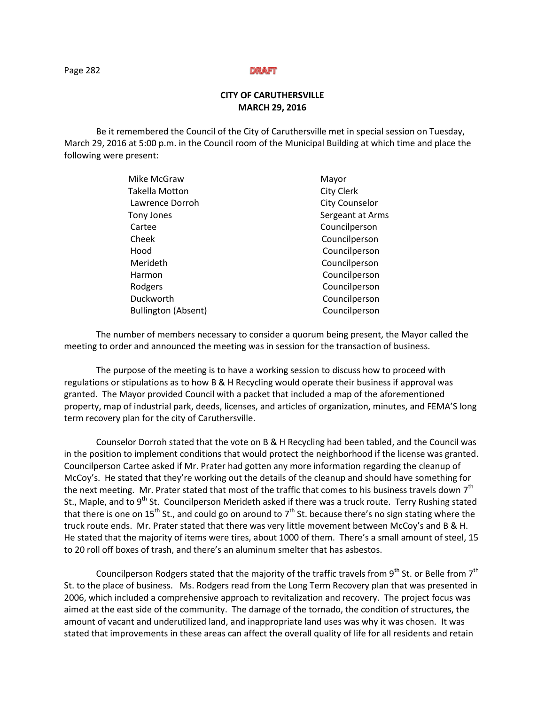### **DRAFT**

# **CITY OF CARUTHERSVILLE MARCH 29, 2016**

Be it remembered the Council of the City of Caruthersville met in special session on Tuesday, March 29, 2016 at 5:00 p.m. in the Council room of the Municipal Building at which time and place the following were present:

| Mike McGraw                | Mayor                 |
|----------------------------|-----------------------|
| <b>Takella Motton</b>      | <b>City Clerk</b>     |
| Lawrence Dorroh            | <b>City Counselor</b> |
| Tony Jones                 | Sergeant at Arms      |
| Cartee                     | Councilperson         |
| Cheek                      | Councilperson         |
| Hood                       | Councilperson         |
| Merideth                   | Councilperson         |
| Harmon                     | Councilperson         |
| Rodgers                    | Councilperson         |
| Duckworth                  | Councilperson         |
| <b>Bullington (Absent)</b> | Councilperson         |

The number of members necessary to consider a quorum being present, the Mayor called the meeting to order and announced the meeting was in session for the transaction of business.

The purpose of the meeting is to have a working session to discuss how to proceed with regulations or stipulations as to how B & H Recycling would operate their business if approval was granted. The Mayor provided Council with a packet that included a map of the aforementioned property, map of industrial park, deeds, licenses, and articles of organization, minutes, and FEMA'S long term recovery plan for the city of Caruthersville.

Counselor Dorroh stated that the vote on B & H Recycling had been tabled, and the Council was in the position to implement conditions that would protect the neighborhood if the license was granted. Councilperson Cartee asked if Mr. Prater had gotten any more information regarding the cleanup of McCoy's. He stated that they're working out the details of the cleanup and should have something for the next meeting. Mr. Prater stated that most of the traffic that comes to his business travels down  $7<sup>th</sup>$ St., Maple, and to 9<sup>th</sup> St. Councilperson Merideth asked if there was a truck route. Terry Rushing stated that there is one on 15<sup>th</sup> St., and could go on around to  $7<sup>th</sup>$  St. because there's no sign stating where the truck route ends. Mr. Prater stated that there was very little movement between McCoy's and B & H. He stated that the majority of items were tires, about 1000 of them. There's a small amount of steel, 15 to 20 roll off boxes of trash, and there's an aluminum smelter that has asbestos.

Councilperson Rodgers stated that the majority of the traffic travels from 9<sup>th</sup> St. or Belle from 7<sup>th</sup> St. to the place of business. Ms. Rodgers read from the Long Term Recovery plan that was presented in 2006, which included a comprehensive approach to revitalization and recovery. The project focus was aimed at the east side of the community. The damage of the tornado, the condition of structures, the amount of vacant and underutilized land, and inappropriate land uses was why it was chosen. It was stated that improvements in these areas can affect the overall quality of life for all residents and retain

Page 282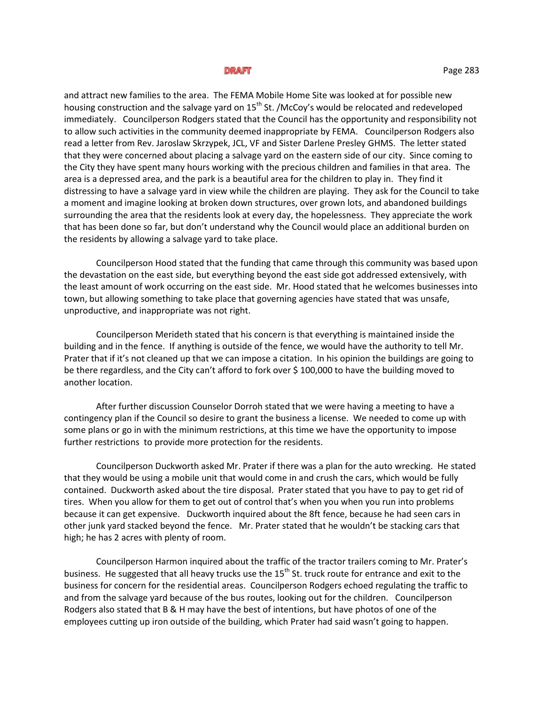### DRAFT

and attract new families to the area. The FEMA Mobile Home Site was looked at for possible new housing construction and the salvage yard on 15<sup>th</sup> St. /McCoy's would be relocated and redeveloped immediately. Councilperson Rodgers stated that the Council has the opportunity and responsibility not to allow such activities in the community deemed inappropriate by FEMA. Councilperson Rodgers also read a letter from Rev. Jaroslaw Skrzypek, JCL, VF and Sister Darlene Presley GHMS. The letter stated that they were concerned about placing a salvage yard on the eastern side of our city. Since coming to the City they have spent many hours working with the precious children and families in that area. The area is a depressed area, and the park is a beautiful area for the children to play in. They find it distressing to have a salvage yard in view while the children are playing. They ask for the Council to take a moment and imagine looking at broken down structures, over grown lots, and abandoned buildings surrounding the area that the residents look at every day, the hopelessness. They appreciate the work that has been done so far, but don't understand why the Council would place an additional burden on the residents by allowing a salvage yard to take place.

Councilperson Hood stated that the funding that came through this community was based upon the devastation on the east side, but everything beyond the east side got addressed extensively, with the least amount of work occurring on the east side. Mr. Hood stated that he welcomes businesses into town, but allowing something to take place that governing agencies have stated that was unsafe, unproductive, and inappropriate was not right.

Councilperson Merideth stated that his concern is that everything is maintained inside the building and in the fence. If anything is outside of the fence, we would have the authority to tell Mr. Prater that if it's not cleaned up that we can impose a citation. In his opinion the buildings are going to be there regardless, and the City can't afford to fork over \$ 100,000 to have the building moved to another location.

After further discussion Counselor Dorroh stated that we were having a meeting to have a contingency plan if the Council so desire to grant the business a license. We needed to come up with some plans or go in with the minimum restrictions, at this time we have the opportunity to impose further restrictions to provide more protection for the residents.

Councilperson Duckworth asked Mr. Prater if there was a plan for the auto wrecking. He stated that they would be using a mobile unit that would come in and crush the cars, which would be fully contained. Duckworth asked about the tire disposal. Prater stated that you have to pay to get rid of tires. When you allow for them to get out of control that's when you when you run into problems because it can get expensive. Duckworth inquired about the 8ft fence, because he had seen cars in other junk yard stacked beyond the fence. Mr. Prater stated that he wouldn't be stacking cars that high; he has 2 acres with plenty of room.

Councilperson Harmon inquired about the traffic of the tractor trailers coming to Mr. Prater's business. He suggested that all heavy trucks use the 15<sup>th</sup> St. truck route for entrance and exit to the business for concern for the residential areas. Councilperson Rodgers echoed regulating the traffic to and from the salvage yard because of the bus routes, looking out for the children. Councilperson Rodgers also stated that B & H may have the best of intentions, but have photos of one of the employees cutting up iron outside of the building, which Prater had said wasn't going to happen.